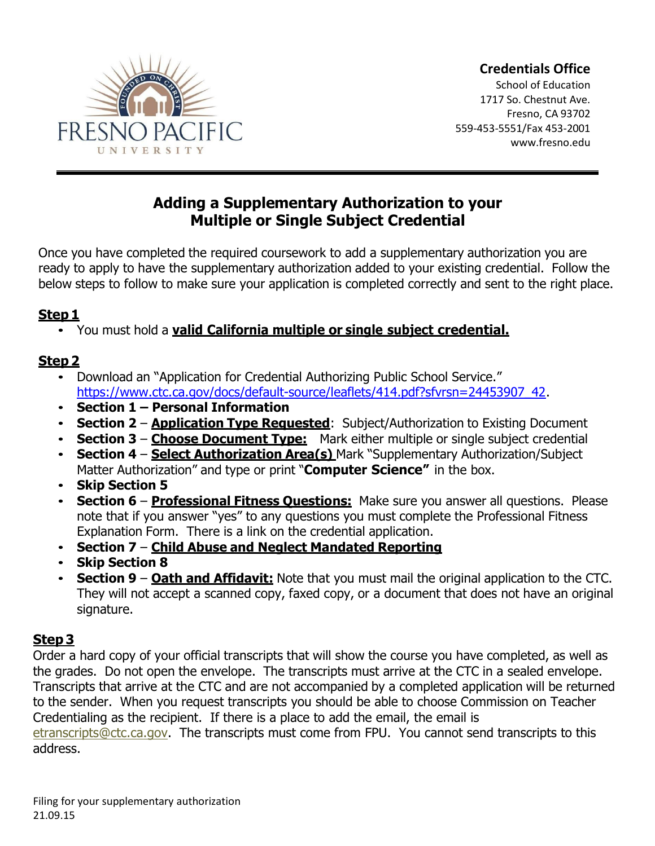

### **Credentials Office**

School of Education 1717 So. Chestnut Ave. Fresno, CA 93702 559-453-5551/Fax 453-2001 [www.fresno.edu](http://www.fresno.edu/)

# **Adding a Supplementary Authorization to your Multiple or Single Subject Credential**

Once you have completed the required coursework to add a supplementary authorization you are ready to apply to have the supplementary authorization added to your existing credential. Follow the below steps to follow to make sure your application is completed correctly and sent to the right place.

# **Step 1**

• You must hold a **valid California multiple or single subject credential.**

# **Step 2**

- Download an "Application for Credential Authorizing Public School Service." [https://www.ctc.ca.gov/docs/default-source/leaflets/414.pdf?sfvrsn=24453907\\_42.](https://www.ctc.ca.gov/docs/default-source/leaflets/414.pdf?sfvrsn=24453907_42)
- **Section 1 – Personal Information**
- **Section 2 Application Type Requested**: Subject/Authorization to Existing Document
- **Section 3 Choose Document Type:** Mark either multiple or single subject credential
- **Section 4 Select Authorization Area(s)** Mark "Supplementary Authorization/Subject Matter Authorization" and type or print "**Computer Science"** in the box.
- **Skip Section 5**
- **Section 6 Professional Fitness Questions:** Make sure you answer all questions. Please note that if you answer "yes" to any questions you must complete the Professional Fitness Explanation Form. There is a link on the credential application.
- **Section 7 Child Abuse and Neglect Mandated Reporting**
- **Skip Section 8**
- **Section 9 Oath and Affidavit:** Note that you must mail the original application to the CTC. They will not accept a scanned copy, faxed copy, or a document that does not have an original signature.

# **Step 3**

Order a hard copy of your official transcripts that will show the course you have completed, as well as the grades. Do not open the envelope. The transcripts must arrive at the CTC in a sealed envelope. Transcripts that arrive at the CTC and are not accompanied by a completed application will be returned to the sender. When you request transcripts you should be able to choose Commission on Teacher Credentialing as the recipient. If there is a place to add the email, the email is [etranscripts@ctc.ca.gov.](mailto:etranscripts@ctc.ca.gov) The transcripts must come from FPU. You cannot send transcripts to this address.